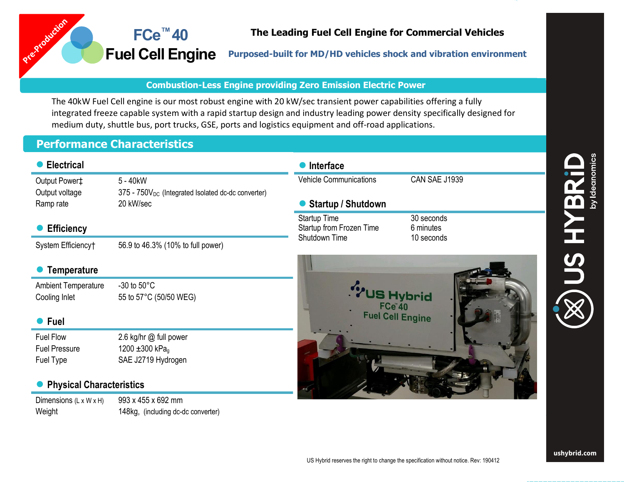

**Purposed-built for MD/HD vehicles shock and vibration environment**

## **Combustion-Less Engine providing Zero Emission Electric Power**

The 40kW Fuel Cell engine is our most robust engine with 20 kW/sec transient power capabilities offering a fully integrated freeze capable system with a rapid startup design and industry leading power density specifically designed for medium duty, shuttle bus, port trucks, GSE, ports and logistics equipment and off-road applications.

## **Performance Characteristics**

Prezroducti

**FCe™ 40**

**Fuel Cell Engine**

| ● Electrical                       |                                                         | Interface                                                 |                                       |
|------------------------------------|---------------------------------------------------------|-----------------------------------------------------------|---------------------------------------|
| Output Power‡                      | 5 - 40kW                                                | <b>Vehicle Communications</b>                             | CAN SAE J1939                         |
| Output voltage                     | $375 - 750V_{DC}$ (Integrated Isolated dc-dc converter) |                                                           |                                       |
| Ramp rate                          | 20 kW/sec                                               | <b>Startup / Shutdown</b>                                 |                                       |
| <b>Efficiency</b>                  |                                                         | Startup Time<br>Startup from Frozen Time<br>Shutdown Time | 30 seconds<br>6 minutes<br>10 seconds |
| System Efficiency†                 | 56.9 to 46.3% (10% to full power)                       |                                                           |                                       |
| <b>Temperature</b>                 |                                                         |                                                           |                                       |
| <b>Ambient Temperature</b>         | -30 to $50^{\circ}$ C                                   |                                                           |                                       |
| Cooling Inlet                      | 55 to 57°C (50/50 WEG)                                  | <b>VUS Hybrid</b><br><b>FCe 40</b>                        |                                       |
| ● Fuel                             |                                                         |                                                           | <b>Fuel Cell Engine</b>               |
| <b>Fuel Flow</b>                   | 2.6 kg/hr @ full power                                  |                                                           |                                       |
| <b>Fuel Pressure</b>               | 1200 ±300 kPa <sub>q</sub>                              |                                                           |                                       |
| Fuel Type                          | SAE J2719 Hydrogen                                      |                                                           |                                       |
| <b>Physical Characteristics</b>    |                                                         |                                                           |                                       |
| Dimensions $(L \times W \times H)$ | 993 x 455 x 692 mm                                      |                                                           |                                       |
| Weight                             | 148kg, (including dc-dc converter)                      |                                                           |                                       |

**www.ushybrid.com ushybrid.com**

**™**